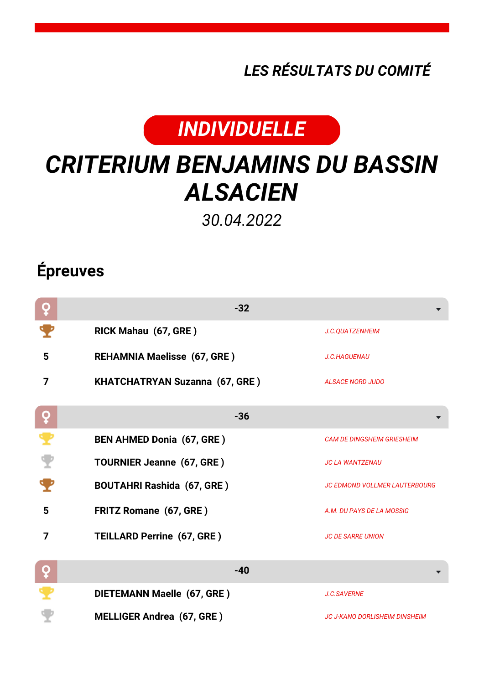*LES RÉSULTATS DU COMITÉ*



## *CRITERIUM BENJAMINS DU BASSIN ALSACIEN*

*30.04.2022*

## **Épreuves**

| ò | $-32$                                 |                                      |
|---|---------------------------------------|--------------------------------------|
|   | RICK Mahau (67, GRE)                  | J.C.QUATZENHEIM                      |
| 5 | <b>REHAMNIA Maelisse (67, GRE)</b>    | <b>J.C.HAGUENAU</b>                  |
| 7 | <b>KHATCHATRYAN Suzanna (67, GRE)</b> | <b>ALSACE NORD JUDO</b>              |
| ò | $-36$                                 |                                      |
| ₹ | <b>BEN AHMED Donia (67, GRE)</b>      | <b>CAM DE DINGSHEIM GRIESHEIM</b>    |
|   | <b>TOURNIER Jeanne (67, GRE)</b>      | <b>JC LA WANTZENAU</b>               |
|   | <b>BOUTAHRI Rashida (67, GRE)</b>     | <b>JC EDMOND VOLLMER LAUTERBOURG</b> |
| 5 | <b>FRITZ Romane (67, GRE)</b>         | A.M. DU PAYS DE LA MOSSIG            |
| 7 | <b>TEILLARD Perrine (67, GRE)</b>     | <b>JC DE SARRE UNION</b>             |
| ò | $-40$                                 |                                      |
|   | DIETEMANN Maelle (67, GRE)            | <b>J.C.SAVERNE</b>                   |
|   | <b>MELLIGER Andrea (67, GRE)</b>      | <b>JC J-KANO DORLISHEIM DINSHEIM</b> |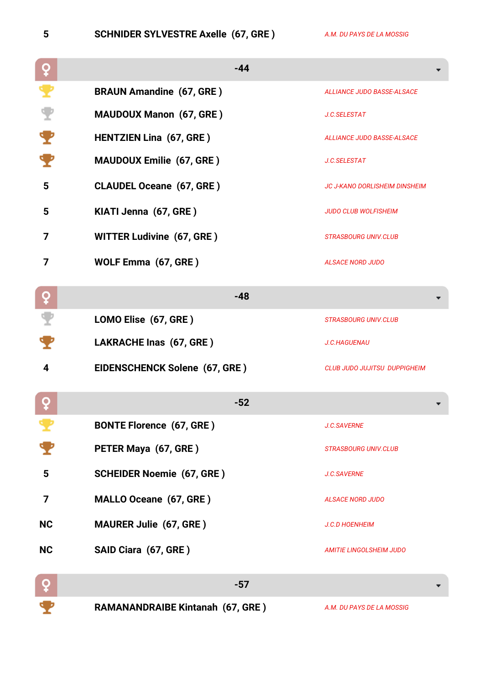**5 SCHNIDER SYLVESTRE Axelle (67, GRE )** *A.M. DU PAYS DE LA MOSSIG*

|           | $-44$                                   |                                      |
|-----------|-----------------------------------------|--------------------------------------|
|           | <b>BRAUN Amandine (67, GRE)</b>         | <b>ALLIANCE JUDO BASSE-ALSACE</b>    |
|           | <b>MAUDOUX Manon (67, GRE)</b>          | J.C.SELESTAT                         |
|           | <b>HENTZIEN Lina (67, GRE)</b>          | <b>ALLIANCE JUDO BASSE-ALSACE</b>    |
|           | <b>MAUDOUX Emilie (67, GRE)</b>         | J.C.SELESTAT                         |
| 5         | <b>CLAUDEL Oceane (67, GRE)</b>         | <b>JC J-KANO DORLISHEIM DINSHEIM</b> |
| 5         | KIATI Jenna (67, GRE)                   | <b>JUDO CLUB WOLFISHEIM</b>          |
| 7         | <b>WITTER Ludivine (67, GRE)</b>        | <b>STRASBOURG UNIV.CLUB</b>          |
| 7         | WOLF Emma (67, GRE)                     | <b>ALSACE NORD JUDO</b>              |
| ò         | $-48$                                   |                                      |
|           | LOMO Elise (67, GRE)                    | <b>STRASBOURG UNIV.CLUB</b>          |
|           | LAKRACHE Inas (67, GRE)                 | J.C.HAGUENAU                         |
| 4         | EIDENSCHENCK Solene (67, GRE)           | <b>CLUB JUDO JUJITSU DUPPIGHEIM</b>  |
|           | $-52$                                   |                                      |
|           | <b>BONTE Florence (67, GRE)</b>         | J.C.SAVERNE                          |
|           | PETER Maya (67, GRE)                    | <b>STRASBOURG UNIV.CLUB</b>          |
| 5         | <b>SCHEIDER Noemie (67, GRE)</b>        | <b>J.C.SAVERNE</b>                   |
| 7         | MALLO Oceane (67, GRE)                  | <b>ALSACE NORD JUDO</b>              |
| <b>NC</b> | <b>MAURER Julie (67, GRE)</b>           | <b>J.C.D HOENHEIM</b>                |
| <b>NC</b> | SAID Ciara (67, GRE)                    | <b>AMITIE LINGOLSHEIM JUDO</b>       |
| ò         | $-57$                                   |                                      |
|           | <b>RAMANANDRAIBE Kintanah (67, GRE)</b> | A.M. DU PAYS DE LA MOSSIG            |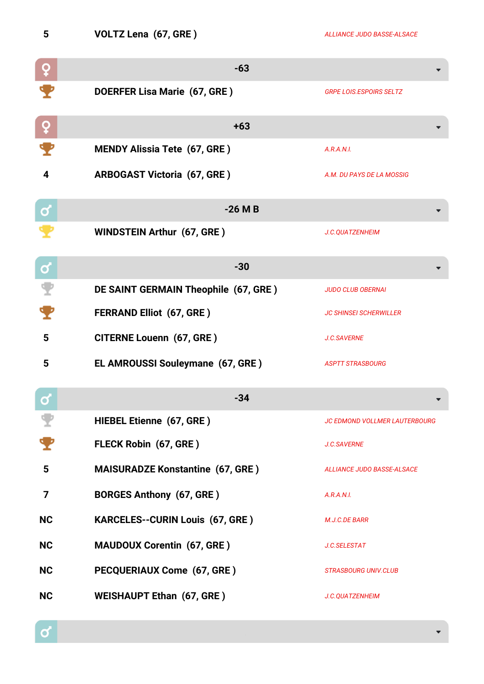| ۰.<br>r |  |   |
|---------|--|---|
|         |  |   |
|         |  |   |
|         |  |   |
|         |  | × |

**5 VOLTZ Lena (67, GRE )** *ALLIANCE JUDO BASSE-ALSACE*

|           | $-63$                                   |                                      |
|-----------|-----------------------------------------|--------------------------------------|
|           | DOERFER Lisa Marie (67, GRE)            | <b>GRPE LOIS.ESPOIRS SELTZ</b>       |
| ò         | $+63$                                   |                                      |
|           | <b>MENDY Alissia Tete (67, GRE)</b>     | A.R.A.N.I.                           |
| 4         | <b>ARBOGAST Victoria (67, GRE)</b>      | A.M. DU PAYS DE LA MOSSIG            |
| ර         | $-26$ M B                               |                                      |
|           | <b>WINDSTEIN Arthur (67, GRE)</b>       | J.C.QUATZENHEIM                      |
| ර         | $-30$                                   |                                      |
|           | DE SAINT GERMAIN Theophile (67, GRE)    | <b>JUDO CLUB OBERNAI</b>             |
|           | <b>FERRAND Elliot (67, GRE)</b>         | <b>JC SHINSEI SCHERWILLER</b>        |
| 5         | <b>CITERNE Louenn (67, GRE)</b>         | J.C.SAVERNE                          |
| 5         | EL AMROUSSI Souleymane (67, GRE)        | <b>ASPTT STRASBOURG</b>              |
| $\bullet$ | $-34$                                   |                                      |
|           | <b>HIEBEL Etienne (67, GRE)</b>         | <b>JC EDMOND VOLLMER LAUTERBOURG</b> |
|           | FLECK Robin (67, GRE)                   | <b>J.C.SAVERNE</b>                   |
| 5         | <b>MAISURADZE Konstantine (67, GRE)</b> | <b>ALLIANCE JUDO BASSE-ALSACE</b>    |
| 7         | <b>BORGES Anthony (67, GRE)</b>         | A.R.A.N.I.                           |
| <b>NC</b> | <b>KARCELES--CURIN Louis (67, GRE)</b>  | M.J.C.DE BARR                        |
| <b>NC</b> | <b>MAUDOUX Corentin (67, GRE)</b>       | J.C.SELESTAT                         |
| <b>NC</b> | PECQUERIAUX Come (67, GRE)              | <b>STRASBOURG UNIV.CLUB</b>          |
| <b>NC</b> | <b>WEISHAUPT Ethan (67, GRE)</b>        | J.C.QUATZENHEIM                      |

 $\sigma$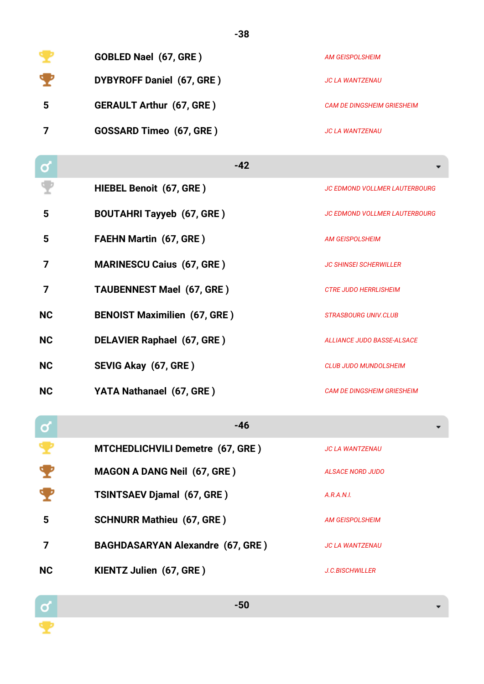|   | <b>GOBLED Nael (67, GRE)</b>     | AM GEISPOLSHEIM                   |
|---|----------------------------------|-----------------------------------|
| v | <b>DYBYROFF Daniel (67, GRE)</b> | JC LA WANTZENAU                   |
| 5 | <b>GERAULT Arthur (67, GRE)</b>  | <b>CAM DE DINGSHEIM GRIESHEIM</b> |
|   | <b>GOSSARD Timeo (67, GRE)</b>   | <b>JC LA WANTZENAU</b>            |

**-38**

| σ            | $-42$                                   |                                      |
|--------------|-----------------------------------------|--------------------------------------|
|              | HIEBEL Benoit (67, GRE)                 | <b>JC EDMOND VOLLMER LAUTERBOURG</b> |
| 5            | <b>BOUTAHRI Tayyeb (67, GRE)</b>        | <b>JC EDMOND VOLLMER LAUTERBOURG</b> |
| 5            | <b>FAEHN Martin (67, GRE)</b>           | <b>AM GEISPOLSHEIM</b>               |
| 7            | <b>MARINESCU Caius (67, GRE)</b>        | <b>JC SHINSEI SCHERWILLER</b>        |
| 7            | <b>TAUBENNEST Mael (67, GRE)</b>        | <b>CTRE JUDO HERRLISHEIM</b>         |
| <b>NC</b>    | <b>BENOIST Maximilien (67, GRE)</b>     | <b>STRASBOURG UNIV.CLUB</b>          |
| <b>NC</b>    | <b>DELAVIER Raphael (67, GRE)</b>       | <b>ALLIANCE JUDO BASSE-ALSACE</b>    |
| <b>NC</b>    | SEVIG Akay (67, GRE)                    | <b>CLUB JUDO MUNDOLSHEIM</b>         |
| <b>NC</b>    | YATA Nathanael (67, GRE)                | <b>CAM DE DINGSHEIM GRIESHEIM</b>    |
| $\mathbf{Q}$ | $-46$                                   |                                      |
|              | MTCHEDLICHVILI Demetre (67, GRE)        | <b>JC LA WANTZENAU</b>               |
|              | <b>MAGON A DANG Neil (67, GRE)</b>      | <b>ALSACE NORD JUDO</b>              |
|              | <b>TSINTSAEV Djamal (67, GRE)</b>       | A.R.A.N.I.                           |
| 5            | <b>SCHNURR Mathieu (67, GRE)</b>        | <b>AM GEISPOLSHEIM</b>               |
| 7            | <b>BAGHDASARYAN Alexandre (67, GRE)</b> | <b>JC LA WANTZENAU</b>               |
| <b>NC</b>    | KIENTZ Julien (67, GRE)                 | <b>J.C.BISCHWILLER</b>               |

 $\overline{\phantom{0}}$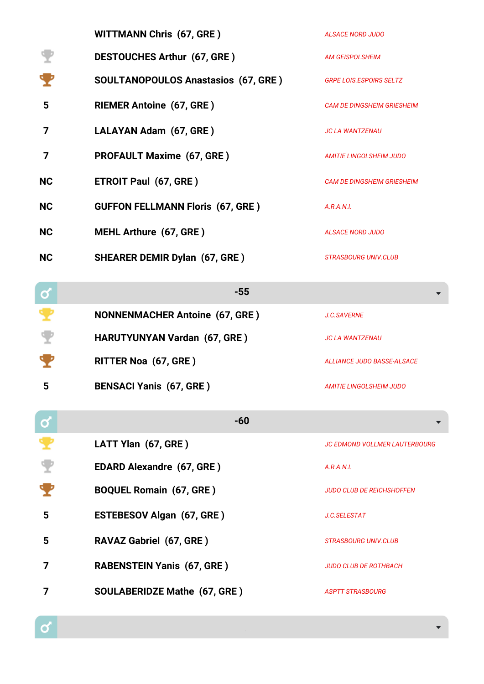|              | <b>WITTMANN Chris (67, GRE)</b>            | <b>ALSACE NORD JUDO</b>              |
|--------------|--------------------------------------------|--------------------------------------|
|              | <b>DESTOUCHES Arthur (67, GRE)</b>         | <b>AM GEISPOLSHEIM</b>               |
|              | <b>SOULTANOPOULOS Anastasios (67, GRE)</b> | <b>GRPE LOIS.ESPOIRS SELTZ</b>       |
| 5            | <b>RIEMER Antoine (67, GRE)</b>            | <b>CAM DE DINGSHEIM GRIESHEIM</b>    |
| 7            | LALAYAN Adam (67, GRE)                     | <b>JC LA WANTZENAU</b>               |
| 7            | <b>PROFAULT Maxime (67, GRE)</b>           | AMITIE LINGOLSHEIM JUDO              |
| <b>NC</b>    | <b>ETROIT Paul (67, GRE)</b>               | <b>CAM DE DINGSHEIM GRIESHEIM</b>    |
| <b>NC</b>    | <b>GUFFON FELLMANN Floris (67, GRE)</b>    | A.R.A.N.I.                           |
| <b>NC</b>    | <b>MEHL Arthure (67, GRE)</b>              | <b>ALSACE NORD JUDO</b>              |
| <b>NC</b>    | <b>SHEARER DEMIR Dylan (67, GRE)</b>       | <b>STRASBOURG UNIV.CLUB</b>          |
| <u>ර</u>     | $-55$                                      |                                      |
|              | <b>NONNENMACHER Antoine (67, GRE)</b>      | J.C.SAVERNE                          |
|              | <b>HARUTYUNYAN Vardan (67, GRE)</b>        | <b>JC LA WANTZENAU</b>               |
|              | <b>RITTER Noa (67, GRE)</b>                | <b>ALLIANCE JUDO BASSE-ALSACE</b>    |
| 5            | <b>BENSACI Yanis (67, GRE)</b>             | <b>AMITIE LINGOLSHEIM JUDO</b>       |
| $\mathbf{Q}$ | $-60$                                      |                                      |
|              | LATT Ylan (67, GRE)                        | <b>JC EDMOND VOLLMER LAUTERBOURG</b> |
|              | <b>EDARD Alexandre (67, GRE)</b>           | A.R.A.N.I.                           |
|              | <b>BOQUEL Romain (67, GRE)</b>             | <b>JUDO CLUB DE REICHSHOFFEN</b>     |
| 5            | <b>ESTEBESOV Algan (67, GRE)</b>           | J.C.SELESTAT                         |
| 5            | <b>RAVAZ Gabriel (67, GRE)</b>             | STRASBOURG UNIV.CLUB                 |
| 7            | <b>RABENSTEIN Yanis (67, GRE)</b>          | <b>JUDO CLUB DE ROTHBACH</b>         |
|              |                                            |                                      |

**7 SOULABERIDZE Mathe (67, GRE )** *ASPTT STRASBOURG*

 $\alpha$ 

 $\overline{\phantom{0}}$